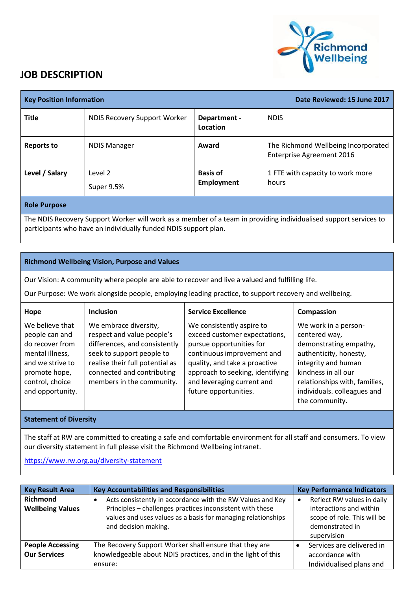

## **JOB DESCRIPTION**

| <b>Key Position Information</b>                                                                                                                                                     |                              | Date Reviewed: 15 June 2017   |                                                                         |  |
|-------------------------------------------------------------------------------------------------------------------------------------------------------------------------------------|------------------------------|-------------------------------|-------------------------------------------------------------------------|--|
| <b>Title</b>                                                                                                                                                                        | NDIS Recovery Support Worker | Department -<br>Location      | <b>NDIS</b>                                                             |  |
| <b>Reports to</b>                                                                                                                                                                   | <b>NDIS Manager</b>          | Award                         | The Richmond Wellbeing Incorporated<br><b>Enterprise Agreement 2016</b> |  |
| Level / Salary                                                                                                                                                                      | Level 2<br>Super 9.5%        | <b>Basis of</b><br>Employment | 1 FTE with capacity to work more<br>hours                               |  |
| <b>Role Purpose</b>                                                                                                                                                                 |                              |                               |                                                                         |  |
| The NDIS Recovery Support Worker will work as a member of a team in providing individualised support services to<br>participants who have an individually funded NDIS support plan. |                              |                               |                                                                         |  |

## **Richmond Wellbeing Vision, Purpose and Values**

Our Vision: A community where people are able to recover and live a valued and fulfilling life.

Our Purpose: We work alongside people, employing leading practice, to support recovery and wellbeing.

| Hope                                                                                                                                                | <b>Inclusion</b>                                                                                                                                                                                                | <b>Service Excellence</b>                                                                                                                                                                                                                        | Compassion                                                                                                                                                                                                                |
|-----------------------------------------------------------------------------------------------------------------------------------------------------|-----------------------------------------------------------------------------------------------------------------------------------------------------------------------------------------------------------------|--------------------------------------------------------------------------------------------------------------------------------------------------------------------------------------------------------------------------------------------------|---------------------------------------------------------------------------------------------------------------------------------------------------------------------------------------------------------------------------|
| We believe that<br>people can and<br>do recover from<br>mental illness,<br>and we strive to<br>promote hope,<br>control, choice<br>and opportunity. | We embrace diversity,<br>respect and value people's<br>differences, and consistently<br>seek to support people to<br>realise their full potential as<br>connected and contributing<br>members in the community. | We consistently aspire to<br>exceed customer expectations,<br>pursue opportunities for<br>continuous improvement and<br>quality, and take a proactive<br>approach to seeking, identifying<br>and leveraging current and<br>future opportunities. | We work in a person-<br>centered way,<br>demonstrating empathy,<br>authenticity, honesty,<br>integrity and human<br>kindness in all our<br>relationships with, families,<br>individuals. colleagues and<br>the community. |

## **Statement of Diversity**

The staff at RW are committed to creating a safe and comfortable environment for all staff and consumers. To view our diversity statement in full please visit the Richmond Wellbeing intranet.

<https://www.rw.org.au/diversity-statement>

| <b>Key Result Area</b>                         | <b>Key Accountabilities and Responsibilities</b>                                                                                                                                                                | <b>Key Performance Indicators</b>                                                                                      |
|------------------------------------------------|-----------------------------------------------------------------------------------------------------------------------------------------------------------------------------------------------------------------|------------------------------------------------------------------------------------------------------------------------|
| <b>Richmond</b><br><b>Wellbeing Values</b>     | Acts consistently in accordance with the RW Values and Key<br>Principles - challenges practices inconsistent with these<br>values and uses values as a basis for managing relationships<br>and decision making. | Reflect RW values in daily<br>interactions and within<br>scope of role. This will be<br>demonstrated in<br>supervision |
| <b>People Accessing</b><br><b>Our Services</b> | The Recovery Support Worker shall ensure that they are<br>knowledgeable about NDIS practices, and in the light of this<br>ensure:                                                                               | Services are delivered in<br>accordance with<br>Individualised plans and                                               |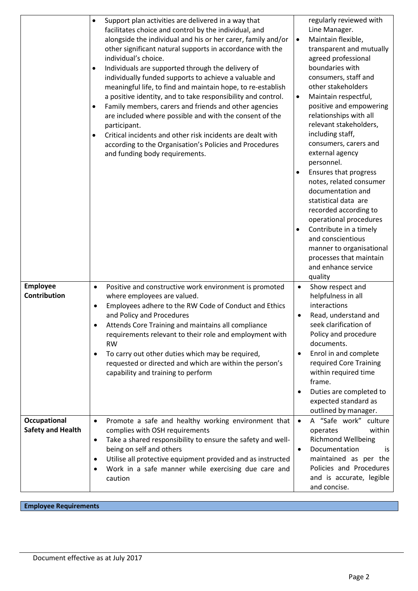|                                          | Support plan activities are delivered in a way that<br>$\bullet$<br>facilitates choice and control by the individual, and<br>alongside the individual and his or her carer, family and/or<br>other significant natural supports in accordance with the<br>individual's choice.<br>Individuals are supported through the delivery of<br>individually funded supports to achieve a valuable and<br>meaningful life, to find and maintain hope, to re-establish<br>a positive identity, and to take responsibility and control.<br>Family members, carers and friends and other agencies<br>$\bullet$<br>are included where possible and with the consent of the<br>participant.<br>Critical incidents and other risk incidents are dealt with<br>according to the Organisation's Policies and Procedures<br>and funding body requirements. | regularly reviewed with<br>Line Manager.<br>Maintain flexible,<br>$\bullet$<br>transparent and mutually<br>agreed professional<br>boundaries with<br>consumers, staff and<br>other stakeholders<br>Maintain respectful,<br>$\bullet$<br>positive and empowering<br>relationships with all<br>relevant stakeholders,<br>including staff,<br>consumers, carers and<br>external agency<br>personnel.<br>Ensures that progress<br>$\bullet$<br>notes, related consumer<br>documentation and<br>statistical data are<br>recorded according to<br>operational procedures<br>Contribute in a timely<br>$\bullet$<br>and conscientious<br>manner to organisational<br>processes that maintain<br>and enhance service<br>quality |
|------------------------------------------|------------------------------------------------------------------------------------------------------------------------------------------------------------------------------------------------------------------------------------------------------------------------------------------------------------------------------------------------------------------------------------------------------------------------------------------------------------------------------------------------------------------------------------------------------------------------------------------------------------------------------------------------------------------------------------------------------------------------------------------------------------------------------------------------------------------------------------------|-------------------------------------------------------------------------------------------------------------------------------------------------------------------------------------------------------------------------------------------------------------------------------------------------------------------------------------------------------------------------------------------------------------------------------------------------------------------------------------------------------------------------------------------------------------------------------------------------------------------------------------------------------------------------------------------------------------------------|
| <b>Employee</b><br><b>Contribution</b>   | Positive and constructive work environment is promoted<br>$\bullet$<br>where employees are valued.<br>Employees adhere to the RW Code of Conduct and Ethics<br>$\bullet$<br>and Policy and Procedures<br>Attends Core Training and maintains all compliance<br>requirements relevant to their role and employment with<br><b>RW</b><br>To carry out other duties which may be required,<br>requested or directed and which are within the person's<br>capability and training to perform                                                                                                                                                                                                                                                                                                                                                 | Show respect and<br>$\bullet$<br>helpfulness in all<br>interactions<br>Read, understand and<br>$\bullet$<br>seek clarification of<br>Policy and procedure<br>documents.<br>Enrol in and complete<br>$\bullet$<br>required Core Training<br>within required time<br>frame.<br>Duties are completed to<br>$\bullet$<br>expected standard as<br>outlined by manager.                                                                                                                                                                                                                                                                                                                                                       |
| Occupational<br><b>Safety and Health</b> | Promote a safe and healthy working environment that<br>$\bullet$<br>complies with OSH requirements<br>Take a shared responsibility to ensure the safety and well-<br>$\bullet$<br>being on self and others<br>Utilise all protective equipment provided and as instructed<br>Work in a safe manner while exercising due care and<br>$\bullet$<br>caution                                                                                                                                                                                                                                                                                                                                                                                                                                                                                 | A "Safe work" culture<br>$\bullet$<br>within<br>operates<br><b>Richmond Wellbeing</b><br>Documentation<br>is<br>$\bullet$<br>maintained as per the<br>Policies and Procedures<br>and is accurate, legible<br>and concise.                                                                                                                                                                                                                                                                                                                                                                                                                                                                                               |

**Employee Requirements**